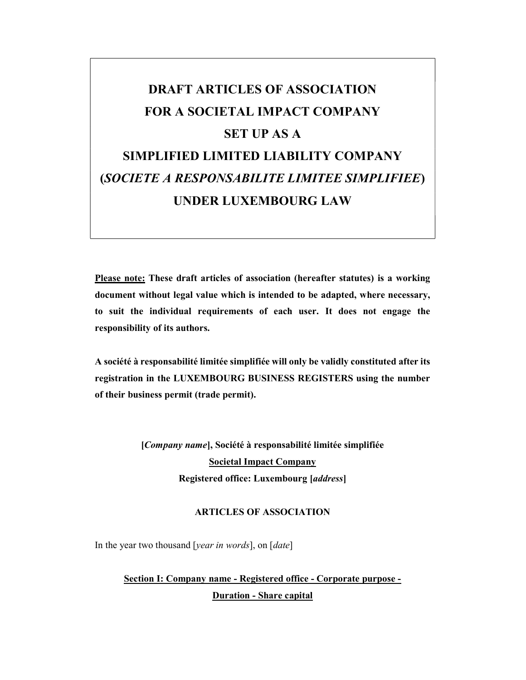# DRAFT ARTICLES OF ASSOCIATION FOR A SOCIETAL IMPACT COMPANY SET UP AS A SIMPLIFIED LIMITED LIABILITY COMPANY (SOCIETE A RESPONSABILITE LIMITEE SIMPLIFIEE) UNDER LUXEMBOURG LAW

Please note: These draft articles of association (hereafter statutes) is a working document without legal value which is intended to be adapted, where necessary, to suit the individual requirements of each user. It does not engage the responsibility of its authors.

A société à responsabilité limitée simplifiée will only be validly constituted after its registration in the LUXEMBOURG BUSINESS REGISTERS using the number of their business permit (trade permit).

> [Company name], Société à responsabilité limitée simplifiée Societal Impact Company Registered office: Luxembourg [address]

### ARTICLES OF ASSOCIATION

In the year two thousand [year in words], on [date]

Section I: Company name - Registered office - Corporate purpose - Duration - Share capital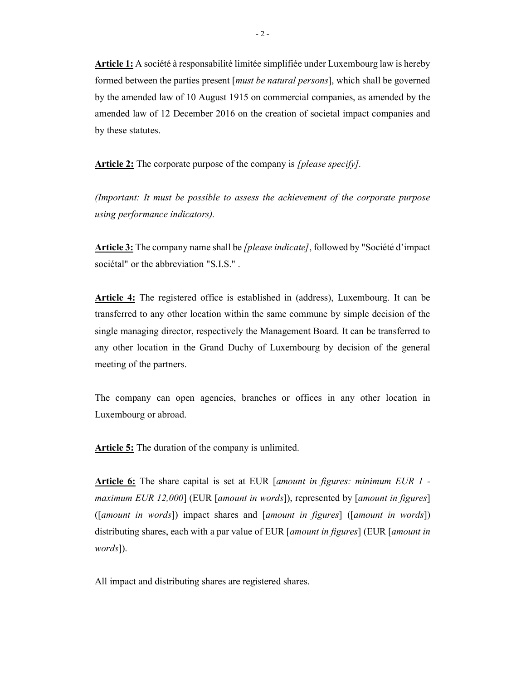Article 1: A société à responsabilité limitée simplifiée under Luxembourg law is hereby formed between the parties present [must be natural persons], which shall be governed by the amended law of 10 August 1915 on commercial companies, as amended by the amended law of 12 December 2016 on the creation of societal impact companies and by these statutes.

Article 2: The corporate purpose of the company is *[please specify]*.

(Important: It must be possible to assess the achievement of the corporate purpose using performance indicators).

Article 3: The company name shall be *[please indicate]*, followed by "Société d'impact sociétal" or the abbreviation "S.I.S." .

Article 4: The registered office is established in (address), Luxembourg. It can be transferred to any other location within the same commune by simple decision of the single managing director, respectively the Management Board. It can be transferred to any other location in the Grand Duchy of Luxembourg by decision of the general meeting of the partners.

The company can open agencies, branches or offices in any other location in Luxembourg or abroad.

Article 5: The duration of the company is unlimited.

Article 6: The share capital is set at EUR [amount in figures: minimum EUR 1 maximum EUR 12,000] (EUR [amount in words]), represented by [amount in figures] ([amount in words]) impact shares and [amount in figures] ([amount in words]) distributing shares, each with a par value of EUR [*amount in figures*] (EUR [*amount in* words]).

All impact and distributing shares are registered shares.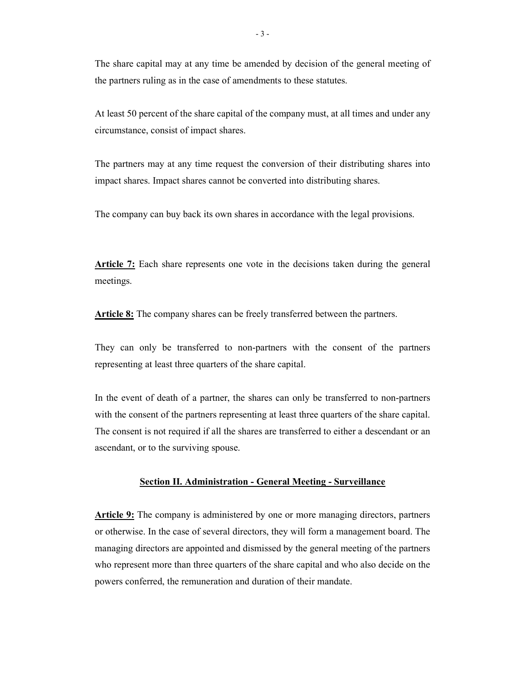The share capital may at any time be amended by decision of the general meeting of the partners ruling as in the case of amendments to these statutes.

At least 50 percent of the share capital of the company must, at all times and under any circumstance, consist of impact shares.

The partners may at any time request the conversion of their distributing shares into impact shares. Impact shares cannot be converted into distributing shares.

The company can buy back its own shares in accordance with the legal provisions.

Article 7: Each share represents one vote in the decisions taken during the general meetings.

Article 8: The company shares can be freely transferred between the partners.

They can only be transferred to non-partners with the consent of the partners representing at least three quarters of the share capital.

In the event of death of a partner, the shares can only be transferred to non-partners with the consent of the partners representing at least three quarters of the share capital. The consent is not required if all the shares are transferred to either a descendant or an ascendant, or to the surviving spouse.

#### Section II. Administration - General Meeting - Surveillance

Article 9: The company is administered by one or more managing directors, partners or otherwise. In the case of several directors, they will form a management board. The managing directors are appointed and dismissed by the general meeting of the partners who represent more than three quarters of the share capital and who also decide on the powers conferred, the remuneration and duration of their mandate.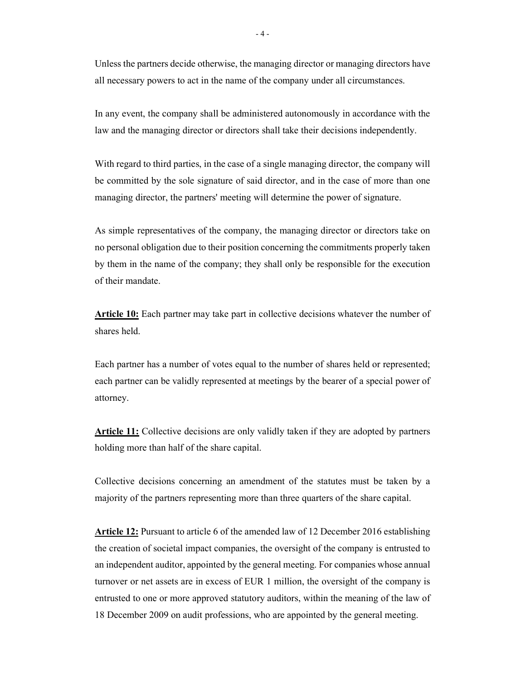Unless the partners decide otherwise, the managing director or managing directors have all necessary powers to act in the name of the company under all circumstances.

In any event, the company shall be administered autonomously in accordance with the law and the managing director or directors shall take their decisions independently.

With regard to third parties, in the case of a single managing director, the company will be committed by the sole signature of said director, and in the case of more than one managing director, the partners' meeting will determine the power of signature.

As simple representatives of the company, the managing director or directors take on no personal obligation due to their position concerning the commitments properly taken by them in the name of the company; they shall only be responsible for the execution of their mandate.

**Article 10:** Each partner may take part in collective decisions whatever the number of shares held.

Each partner has a number of votes equal to the number of shares held or represented; each partner can be validly represented at meetings by the bearer of a special power of attorney.

Article 11: Collective decisions are only validly taken if they are adopted by partners holding more than half of the share capital.

Collective decisions concerning an amendment of the statutes must be taken by a majority of the partners representing more than three quarters of the share capital.

Article 12: Pursuant to article 6 of the amended law of 12 December 2016 establishing the creation of societal impact companies, the oversight of the company is entrusted to an independent auditor, appointed by the general meeting. For companies whose annual turnover or net assets are in excess of EUR 1 million, the oversight of the company is entrusted to one or more approved statutory auditors, within the meaning of the law of 18 December 2009 on audit professions, who are appointed by the general meeting.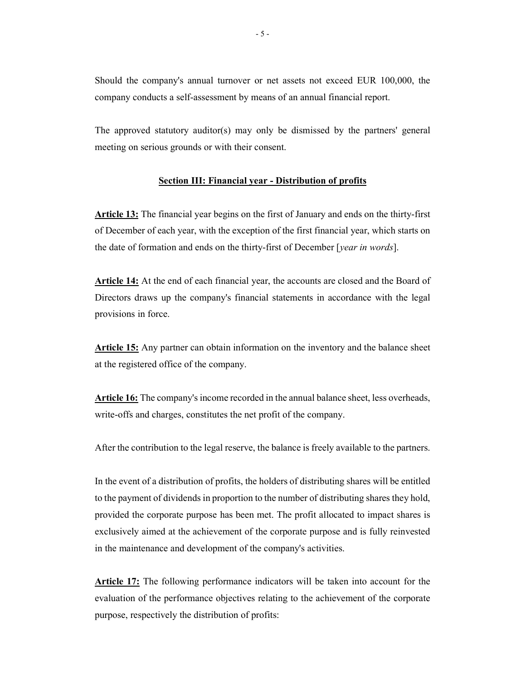Should the company's annual turnover or net assets not exceed EUR 100,000, the company conducts a self-assessment by means of an annual financial report.

The approved statutory auditor(s) may only be dismissed by the partners' general meeting on serious grounds or with their consent.

#### Section III: Financial year - Distribution of profits

Article 13: The financial year begins on the first of January and ends on the thirty-first of December of each year, with the exception of the first financial year, which starts on the date of formation and ends on the thirty-first of December [year in words].

Article 14: At the end of each financial year, the accounts are closed and the Board of Directors draws up the company's financial statements in accordance with the legal provisions in force.

Article 15: Any partner can obtain information on the inventory and the balance sheet at the registered office of the company.

Article 16: The company's income recorded in the annual balance sheet, less overheads, write-offs and charges, constitutes the net profit of the company.

After the contribution to the legal reserve, the balance is freely available to the partners.

In the event of a distribution of profits, the holders of distributing shares will be entitled to the payment of dividends in proportion to the number of distributing shares they hold, provided the corporate purpose has been met. The profit allocated to impact shares is exclusively aimed at the achievement of the corporate purpose and is fully reinvested in the maintenance and development of the company's activities.

Article 17: The following performance indicators will be taken into account for the evaluation of the performance objectives relating to the achievement of the corporate purpose, respectively the distribution of profits: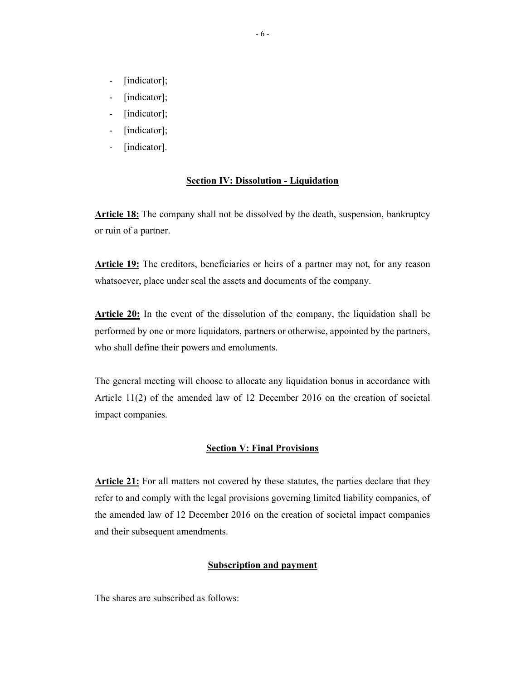- [indicator];
- [indicator];
- [indicator];
- [indicator];
- [indicator].

#### Section IV: Dissolution - Liquidation

Article 18: The company shall not be dissolved by the death, suspension, bankruptcy or ruin of a partner.

Article 19: The creditors, beneficiaries or heirs of a partner may not, for any reason whatsoever, place under seal the assets and documents of the company.

Article 20: In the event of the dissolution of the company, the liquidation shall be performed by one or more liquidators, partners or otherwise, appointed by the partners, who shall define their powers and emoluments.

The general meeting will choose to allocate any liquidation bonus in accordance with Article 11(2) of the amended law of 12 December 2016 on the creation of societal impact companies.

#### **Section V: Final Provisions**

Article 21: For all matters not covered by these statutes, the parties declare that they refer to and comply with the legal provisions governing limited liability companies, of the amended law of 12 December 2016 on the creation of societal impact companies and their subsequent amendments.

#### Subscription and payment

The shares are subscribed as follows: